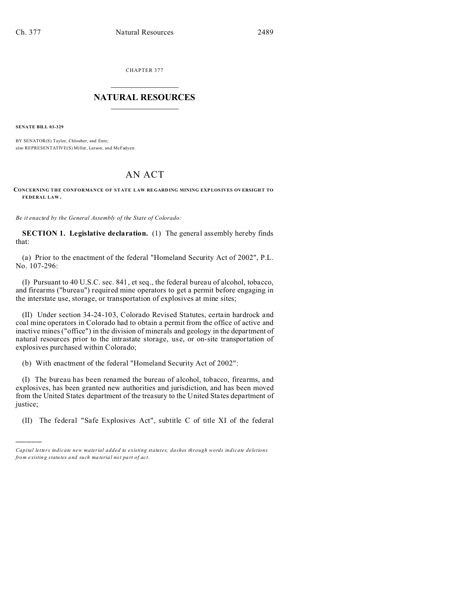CHAPTER 377  $\overline{\phantom{a}}$  , where  $\overline{\phantom{a}}$ 

## **NATURAL RESOURCES**  $\frac{1}{\sqrt{2}}$  ,  $\frac{1}{\sqrt{2}}$  ,  $\frac{1}{\sqrt{2}}$  ,  $\frac{1}{\sqrt{2}}$  ,  $\frac{1}{\sqrt{2}}$  ,  $\frac{1}{\sqrt{2}}$

**SENATE BILL 03-329**

)))))

BY SENATOR(S) Taylor, Chlouber, and Entz; also REPRESENTATIVE(S) Miller, Larson, and McFadyen.

## AN ACT

**CONCERNING THE CONFORMANCE OF STATE LAW RE GARD ING MINING EXP LOS IVES OV ERSIGH T TO FEDERAL LAW .**

*Be it enacted by the General Assembly of the State of Colorado:*

**SECTION 1. Legislative declaration.** (1) The general assembly hereby finds that:

(a) Prior to the enactment of the federal "Homeland Security Act of 2002", P.L. No. 107-296:

(I) Pursuant to 40 U.S.C. sec. 841, et seq., the federal bureau of alcohol, tobacco, and firearms ("bureau") required mine operators to get a permit before engaging in the interstate use, storage, or transportation of explosives at mine sites;

(II) Under section 34-24-103, Colorado Revised Statutes, certain hardrock and coal mine operators in Colorado had to obtain a permit from the office of active and inactive mines ("office") in the division of minerals and geology in the department of natural resources prior to the intrastate storage, use, or on-site transportation of explosives purchased within Colorado;

(b) With enactment of the federal "Homeland Security Act of 2002":

(I) The bureau has been renamed the bureau of alcohol, tobacco, firearms, and explosives, has been granted new authorities and jurisdiction, and has been moved from the United States department of the treasury to the United States department of justice;

(II) The federal "Safe Explosives Act", subtitle C of title XI of the federal

*Capital letters indicate new material added to existing statutes; dashes through words indicate deletions from e xistin g statu tes a nd such ma teria l no t pa rt of ac t.*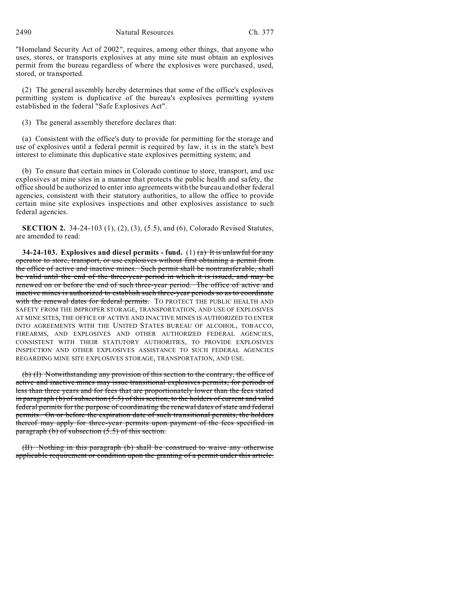2490 Natural Resources Ch. 377

"Homeland Security Act of 2002", requires, among other things, that anyone who uses, stores, or transports explosives at any mine site must obtain an explosives permit from the bureau regardless of where the explosives were purchased, used, stored, or transported.

(2) The general assembly hereby determines that some of the office's explosives permitting system is duplicative of the bureau's explosives permitting system established in the federal "Safe Explosives Act".

(3) The general assembly therefore declares that:

(a) Consistent with the office's duty to provide for permitting for the storage and use of explosives until a federal permit is required by law, it is in the state's best interest to eliminate this duplicative state explosives permitting system; and

(b) To ensure that certain mines in Colorado continue to store, transport, and use explosives at mine sites in a manner that protects the public health and safety, the office should be authorized to enter into agreements with the bureau and other federal agencies, consistent with their statutory authorities, to allow the office to provide certain mine site explosives inspections and other explosives assistance to such federal agencies.

**SECTION 2.** 34-24-103 (1), (2), (3), (5.5), and (6), Colorado Revised Statutes, are amended to read:

**34-24-103.** Explosives and diesel permits - fund. (1)  $(a)$  It is unlawful for any operator to store, transport, or use explosives without first obtaining a permit from the office of active and inactive mines. Such permit shall be nontransferable, shall be valid until the end of the three-year period in which it is issued, and may be renewed on or before the end of such three-year period. The office of active and inactive mines is authorized to establish such three-year periods so as to coordinate with the renewal dates for federal permits. TO PROTECT THE PUBLIC HEALTH AND SAFETY FROM THE IMPROPER STORAGE, TRANSPORTATION, AND USE OF EXPLOSIVES AT MINE SITES, THE OFFICE OF ACTIVE AND INACTIVE MINES IS AUTHORIZED TO ENTER INTO AGREEMENTS WITH THE UNITED STATES BUREAU OF ALCOHOL, TOBACCO, FIREARMS, AND EXPLOSIVES AND OTHER AUTHORIZED FEDERAL AGENCIES, CONSISTENT WITH THEIR STATUTORY AUTHORITIES, TO PROVIDE EXPLOSIVES INSPECTION AND OTHER EXPLOSIVES ASSISTANCE TO SUCH FEDERAL AGENCIES REGARDING MINE SITE EXPLOSIVES STORAGE, TRANSPORTATION, AND USE.

(b) (I) Notwithstanding any provision of this section to the contrary, the office of active and inactive mines may issue transitional explosives permits, for periods of less than three years and for fees that are proportionately lower than the fees stated in paragraph (b) of subsection  $(5.5)$  of this section, to the holders of current and valid federal permits for the purpose of coordinating the renewal dates of state and federal permits. On or before the expiration date of such transitional permits, the holders thereof may apply for three-year permits upon payment of the fees specified in paragraph (b) of subsection (5.5) of this section.

(II) Nothing in this paragraph (b) shall be construed to waive any otherwise applicable requirement or condition upon the granting of a permit under this article.